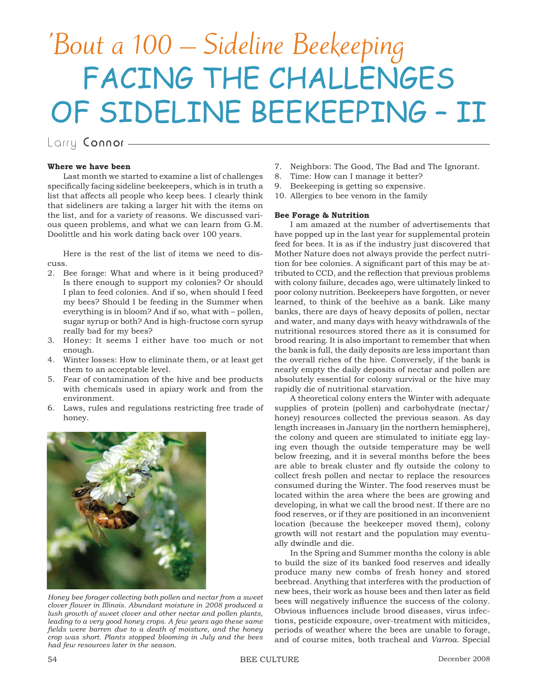# 'Bout a 100 – Sideline Beekeeping FACING THE CHALLENGES OF SIDELINE BEEKEEPING – II

Larry Connor -

## **Where we have been**

Last month we started to examine a list of challenges specifically facing sideline beekeepers, which is in truth a list that affects all people who keep bees. I clearly think that sideliners are taking a larger hit with the items on the list, and for a variety of reasons. We discussed various queen problems, and what we can learn from G.M. Doolittle and his work dating back over 100 years.

Here is the rest of the list of items we need to discuss.

- 2. Bee forage: What and where is it being produced? Is there enough to support my colonies? Or should I plan to feed colonies. And if so, when should I feed my bees? Should I be feeding in the Summer when everything is in bloom? And if so, what with – pollen, sugar syrup or both? And is high-fructose corn syrup really bad for my bees?
- 3. Honey: It seems I either have too much or not enough.
- 4. Winter losses: How to eliminate them, or at least get them to an acceptable level.
- 5. Fear of contamination of the hive and bee products with chemicals used in apiary work and from the environment.
- 6. Laws, rules and regulations restricting free trade of honey.



*Honey bee forager collecting both pollen and nectar from a sweet clover flower in Illinois. Abundant moisture in 2008 produced a lush growth of sweet clover and other nectar and pollen plants, leading to a very good honey crops. A few years ago these same fi elds were barren due to a death of moisture, and the honey crop was short. Plants stopped blooming in July and the bees had few resources later in the season.*

- 7. Neighbors: The Good, The Bad and The Ignorant.
- 8. Time: How can I manage it better?
- 9. Beekeeping is getting so expensive.
- 10. Allergies to bee venom in the family

## **Bee Forage & Nutrition**

I am amazed at the number of advertisements that have popped up in the last year for supplemental protein feed for bees. It is as if the industry just discovered that Mother Nature does not always provide the perfect nutrition for bee colonies. A significant part of this may be attributed to CCD, and the reflection that previous problems with colony failure, decades ago, were ultimately linked to poor colony nutrition. Beekeepers have forgotten, or never learned, to think of the beehive as a bank. Like many banks, there are days of heavy deposits of pollen, nectar and water, and many days with heavy withdrawals of the nutritional resources stored there as it is consumed for brood rearing. It is also important to remember that when the bank is full, the daily deposits are less important than the overall riches of the hive. Conversely, if the bank is nearly empty the daily deposits of nectar and pollen are absolutely essential for colony survival or the hive may rapidly die of nutritional starvation.

A theoretical colony enters the Winter with adequate supplies of protein (pollen) and carbohydrate (nectar/ honey) resources collected the previous season. As day length increases in January (in the northern hemisphere), the colony and queen are stimulated to initiate egg laying even though the outside temperature may be well below freezing, and it is several months before the bees are able to break cluster and fly outside the colony to collect fresh pollen and nectar to replace the resources consumed during the Winter. The food reserves must be located within the area where the bees are growing and developing, in what we call the brood nest. If there are no food reserves, or if they are positioned in an inconvenient location (because the beekeeper moved them), colony growth will not restart and the population may eventually dwindle and die.

In the Spring and Summer months the colony is able to build the size of its banked food reserves and ideally produce many new combs of fresh honey and stored beebread. Anything that interferes with the production of new bees, their work as house bees and then later as field bees will negatively influence the success of the colony. Obvious influences include brood diseases, virus infections, pesticide exposure, over-treatment with miticides, periods of weather where the bees are unable to forage, and of course mites, both tracheal and *Varroa*. Special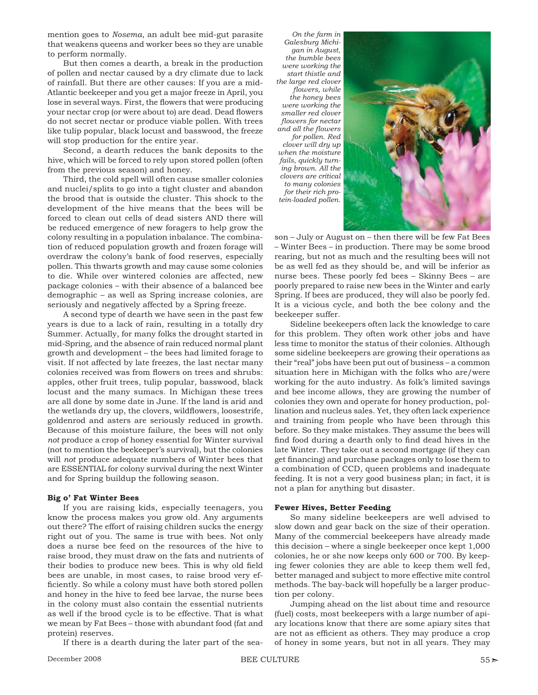mention goes to *Nosema*, an adult bee mid-gut parasite that weakens queens and worker bees so they are unable to perform normally.

But then comes a dearth, a break in the production of pollen and nectar caused by a dry climate due to lack of rainfall. But there are other causes: If you are a mid-Atlantic beekeeper and you get a major freeze in April, you lose in several ways. First, the flowers that were producing your nectar crop (or were about to) are dead. Dead flowers do not secret nectar or produce viable pollen. With trees like tulip popular, black locust and basswood, the freeze will stop production for the entire year.

Second, a dearth reduces the bank deposits to the hive, which will be forced to rely upon stored pollen (often from the previous season) and honey.

Third, the cold spell will often cause smaller colonies and nuclei/splits to go into a tight cluster and abandon the brood that is outside the cluster. This shock to the development of the hive means that the bees will be forced to clean out cells of dead sisters AND there will be reduced emergence of new foragers to help grow the colony resulting in a population inbalance. The combination of reduced population growth and frozen forage will overdraw the colony's bank of food reserves, especially pollen. This thwarts growth and may cause some colonies to die. While over wintered colonies are affected, new package colonies – with their absence of a balanced bee demographic – as well as Spring increase colonies, are seriously and negatively affected by a Spring freeze.

A second type of dearth we have seen in the past few years is due to a lack of rain, resulting in a totally dry Summer. Actually, for many folks the drought started in mid-Spring, and the absence of rain reduced normal plant growth and development – the bees had limited forage to visit. If not affected by late freezes, the last nectar many colonies received was from flowers on trees and shrubs: apples, other fruit trees, tulip popular, basswood, black locust and the many sumacs. In Michigan these trees are all done by some date in June. If the land is arid and the wetlands dry up, the clovers, wildflowers, loosestrife, goldenrod and asters are seriously reduced in growth. Because of this moisture failure, the bees will not only *not* produce a crop of honey essential for Winter survival (not to mention the beekeeper's survival), but the colonies will *not* produce adequate numbers of Winter bees that are ESSENTIAL for colony survival during the next Winter and for Spring buildup the following season.

#### **Big o' Fat Winter Bees**

If you are raising kids, especially teenagers, you know the process makes you grow old. Any arguments out there? The effort of raising children sucks the energy right out of you. The same is true with bees. Not only does a nurse bee feed on the resources of the hive to raise brood, they must draw on the fats and nutrients of their bodies to produce new bees. This is why old field bees are unable, in most cases, to raise brood very efficiently. So while a colony must have both stored pollen and honey in the hive to feed bee larvae, the nurse bees in the colony must also contain the essential nutrients as well if the brood cycle is to be effective. That is what we mean by Fat Bees – those with abundant food (fat and protein) reserves.

If there is a dearth during the later part of the sea-

*On the farm in Galesburg Michigan in August, the bumble bees were working the start thistle and the large red clover fl owers, while the honey bees were working the smaller red clover fl owers for nectar and all the fl owers for pollen. Red clover will dry up when the moisture fails, quickly turning brown. All the clovers are critical to many colonies for their rich protein-loaded pollen.*



son – July or August on – then there will be few Fat Bees – Winter Bees – in production. There may be some brood rearing, but not as much and the resulting bees will not be as well fed as they should be, and will be inferior as nurse bees. These poorly fed bees – Skinny Bees – are poorly prepared to raise new bees in the Winter and early Spring. If bees are produced, they will also be poorly fed. It is a vicious cycle, and both the bee colony and the beekeeper suffer.

Sideline beekeepers often lack the knowledge to care for this problem. They often work other jobs and have less time to monitor the status of their colonies. Although some sideline beekeepers are growing their operations as their "real" jobs have been put out of business – a common situation here in Michigan with the folks who are/were working for the auto industry. As folk's limited savings and bee income allows, they are growing the number of colonies they own and operate for honey production, pollination and nucleus sales. Yet, they often lack experience and training from people who have been through this before. So they make mistakes. They assume the bees will find food during a dearth only to find dead hives in the late Winter. They take out a second mortgage (if they can get financing) and purchase packages only to lose them to a combination of CCD, queen problems and inadequate feeding. It is not a very good business plan; in fact, it is not a plan for anything but disaster.

#### **Fewer Hives, Better Feeding**

So many sideline beekeepers are well advised to slow down and gear back on the size of their operation. Many of the commercial beekeepers have already made this decision – where a single beekeeper once kept 1,000 colonies, he or she now keeps only 600 or 700. By keeping fewer colonies they are able to keep them well fed, better managed and subject to more effective mite control methods. The bay-back will hopefully be a larger production per colony.

Jumping ahead on the list about time and resource (fuel) costs, most beekeepers with a large number of apiary locations know that there are some apiary sites that are not as efficient as others. They may produce a crop of honey in some years, but not in all years. They may